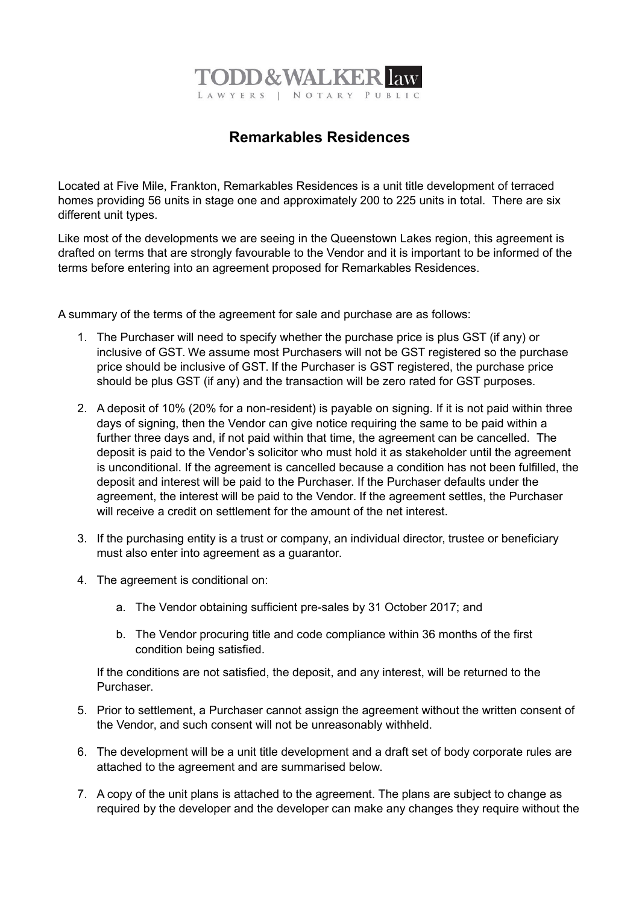

## **Remarkables Residences**

Located at Five Mile, Frankton, Remarkables Residences is a unit title development of terraced homes providing 56 units in stage one and approximately 200 to 225 units in total. There are six different unit types.

Like most of the developments we are seeing in the Queenstown Lakes region, this agreement is drafted on terms that are strongly favourable to the Vendor and it is important to be informed of the terms before entering into an agreement proposed for Remarkables Residences.

A summary of the terms of the agreement for sale and purchase are as follows:

- 1. The Purchaser will need to specify whether the purchase price is plus GST (if any) or inclusive of GST. We assume most Purchasers will not be GST registered so the purchase price should be inclusive of GST. If the Purchaser is GST registered, the purchase price should be plus GST (if any) and the transaction will be zero rated for GST purposes.
- 2. A deposit of 10% (20% for a non-resident) is payable on signing. If it is not paid within three days of signing, then the Vendor can give notice requiring the same to be paid within a further three days and, if not paid within that time, the agreement can be cancelled. The deposit is paid to the Vendor's solicitor who must hold it as stakeholder until the agreement is unconditional. If the agreement is cancelled because a condition has not been fulfilled, the deposit and interest will be paid to the Purchaser. If the Purchaser defaults under the agreement, the interest will be paid to the Vendor. If the agreement settles, the Purchaser will receive a credit on settlement for the amount of the net interest.
- 3. If the purchasing entity is a trust or company, an individual director, trustee or beneficiary must also enter into agreement as a guarantor.
- 4. The agreement is conditional on:
	- a. The Vendor obtaining sufficient pre-sales by 31 October 2017; and
	- b. The Vendor procuring title and code compliance within 36 months of the first condition being satisfied.

If the conditions are not satisfied, the deposit, and any interest, will be returned to the Purchaser.

- 5. Prior to settlement, a Purchaser cannot assign the agreement without the written consent of the Vendor, and such consent will not be unreasonably withheld.
- 6. The development will be a unit title development and a draft set of body corporate rules are attached to the agreement and are summarised below.
- 7. A copy of the unit plans is attached to the agreement. The plans are subject to change as required by the developer and the developer can make any changes they require without the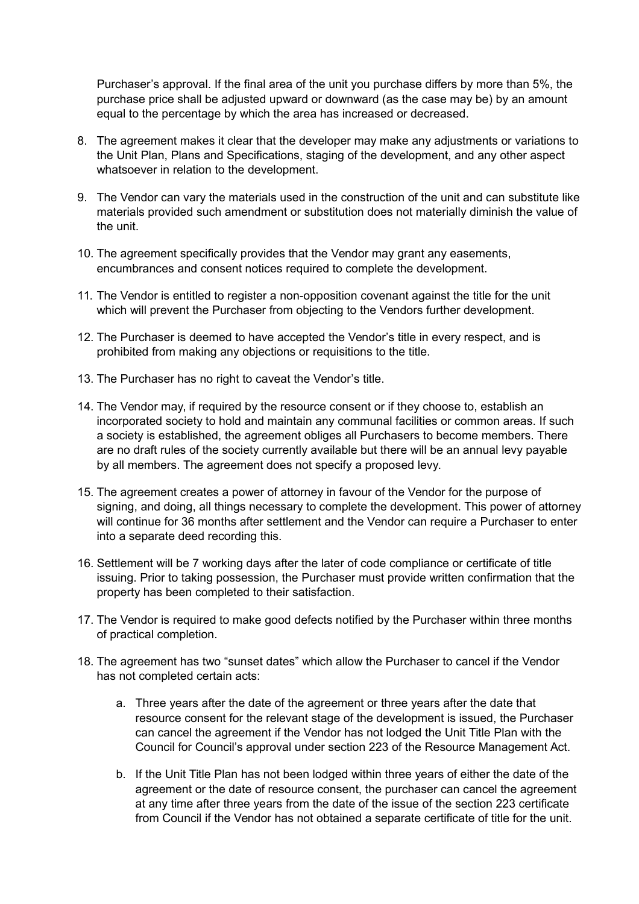Purchaser's approval. If the final area of the unit you purchase differs by more than 5%, the purchase price shall be adjusted upward or downward (as the case may be) by an amount equal to the percentage by which the area has increased or decreased.

- 8. The agreement makes it clear that the developer may make any adjustments or variations to the Unit Plan, Plans and Specifications, staging of the development, and any other aspect whatsoever in relation to the development.
- 9. The Vendor can vary the materials used in the construction of the unit and can substitute like materials provided such amendment or substitution does not materially diminish the value of the unit.
- 10. The agreement specifically provides that the Vendor may grant any easements, encumbrances and consent notices required to complete the development.
- 11. The Vendor is entitled to register a non-opposition covenant against the title for the unit which will prevent the Purchaser from objecting to the Vendors further development.
- 12. The Purchaser is deemed to have accepted the Vendor's title in every respect, and is prohibited from making any objections or requisitions to the title.
- 13. The Purchaser has no right to caveat the Vendor's title.
- 14. The Vendor may, if required by the resource consent or if they choose to, establish an incorporated society to hold and maintain any communal facilities or common areas. If such a society is established, the agreement obliges all Purchasers to become members. There are no draft rules of the society currently available but there will be an annual levy payable by all members. The agreement does not specify a proposed levy.
- 15. The agreement creates a power of attorney in favour of the Vendor for the purpose of signing, and doing, all things necessary to complete the development. This power of attorney will continue for 36 months after settlement and the Vendor can require a Purchaser to enter into a separate deed recording this.
- 16. Settlement will be 7 working days after the later of code compliance or certificate of title issuing. Prior to taking possession, the Purchaser must provide written confirmation that the property has been completed to their satisfaction.
- 17. The Vendor is required to make good defects notified by the Purchaser within three months of practical completion.
- 18. The agreement has two "sunset dates" which allow the Purchaser to cancel if the Vendor has not completed certain acts:
	- a. Three years after the date of the agreement or three years after the date that resource consent for the relevant stage of the development is issued, the Purchaser can cancel the agreement if the Vendor has not lodged the Unit Title Plan with the Council for Council's approval under section 223 of the Resource Management Act.
	- b. If the Unit Title Plan has not been lodged within three years of either the date of the agreement or the date of resource consent, the purchaser can cancel the agreement at any time after three years from the date of the issue of the section 223 certificate from Council if the Vendor has not obtained a separate certificate of title for the unit.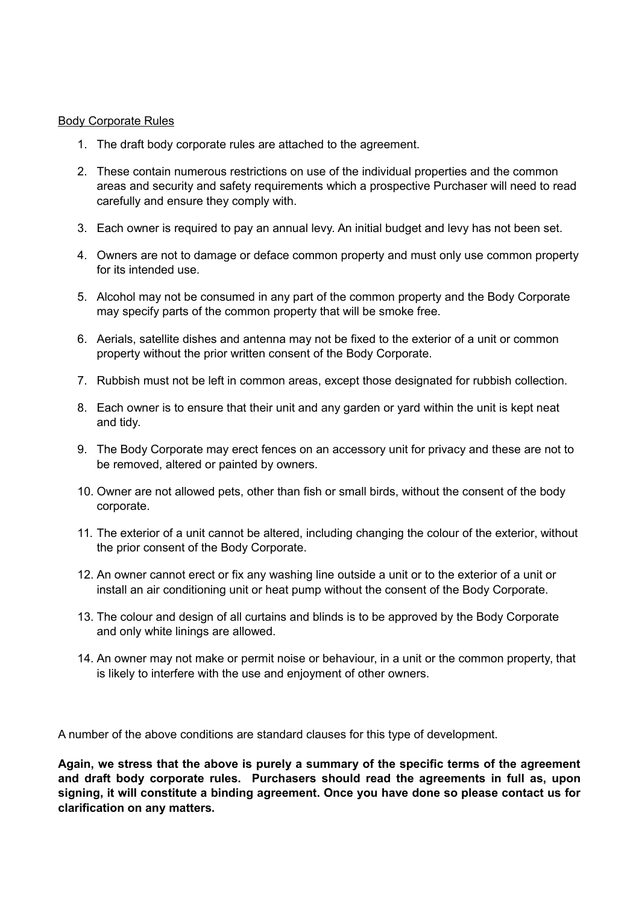## Body Corporate Rules

- 1. The draft body corporate rules are attached to the agreement.
- 2. These contain numerous restrictions on use of the individual properties and the common areas and security and safety requirements which a prospective Purchaser will need to read carefully and ensure they comply with.
- 3. Each owner is required to pay an annual levy. An initial budget and levy has not been set.
- 4. Owners are not to damage or deface common property and must only use common property for its intended use.
- 5. Alcohol may not be consumed in any part of the common property and the Body Corporate may specify parts of the common property that will be smoke free.
- 6. Aerials, satellite dishes and antenna may not be fixed to the exterior of a unit or common property without the prior written consent of the Body Corporate.
- 7. Rubbish must not be left in common areas, except those designated for rubbish collection.
- 8. Each owner is to ensure that their unit and any garden or yard within the unit is kept neat and tidy.
- 9. The Body Corporate may erect fences on an accessory unit for privacy and these are not to be removed, altered or painted by owners.
- 10. Owner are not allowed pets, other than fish or small birds, without the consent of the body corporate.
- 11. The exterior of a unit cannot be altered, including changing the colour of the exterior, without the prior consent of the Body Corporate.
- 12. An owner cannot erect or fix any washing line outside a unit or to the exterior of a unit or install an air conditioning unit or heat pump without the consent of the Body Corporate.
- 13. The colour and design of all curtains and blinds is to be approved by the Body Corporate and only white linings are allowed.
- 14. An owner may not make or permit noise or behaviour, in a unit or the common property, that is likely to interfere with the use and enjoyment of other owners.

A number of the above conditions are standard clauses for this type of development.

**Again, we stress that the above is purely a summary of the specific terms of the agreement and draft body corporate rules. Purchasers should read the agreements in full as, upon signing, it will constitute a binding agreement. Once you have done so please contact us for clarification on any matters.**